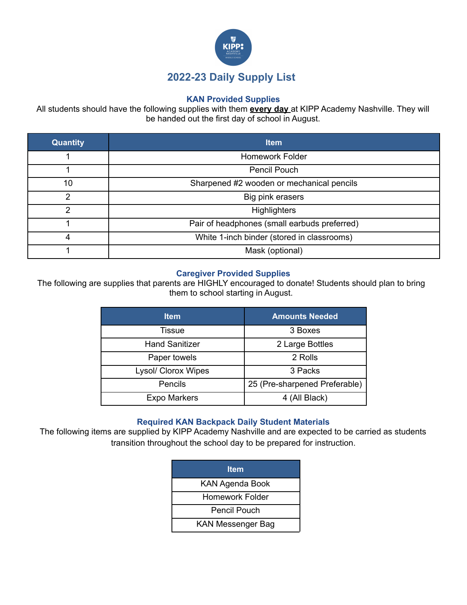

## **KAN Provided Supplies**

All students should have the following supplies with them **every day** at KIPP Academy Nashville. They will be handed out the first day of school in August.

| <b>Quantity</b> | <b>Item</b>                                  |  |
|-----------------|----------------------------------------------|--|
|                 | <b>Homework Folder</b>                       |  |
|                 | Pencil Pouch                                 |  |
| 10              | Sharpened #2 wooden or mechanical pencils    |  |
| っ               | Big pink erasers                             |  |
| 2               | <b>Highlighters</b>                          |  |
|                 | Pair of headphones (small earbuds preferred) |  |
| 4               | White 1-inch binder (stored in classrooms)   |  |
|                 | Mask (optional)                              |  |

## **Caregiver Provided Supplies**

The following are supplies that parents are HIGHLY encouraged to donate! Students should plan to bring them to school starting in August.

| <b>Item</b>           | <b>Amounts Needed</b>         |
|-----------------------|-------------------------------|
| Tissue                | 3 Boxes                       |
| <b>Hand Sanitizer</b> | 2 Large Bottles               |
| Paper towels          | 2 Rolls                       |
| Lysol/ Clorox Wipes   | 3 Packs                       |
| Pencils               | 25 (Pre-sharpened Preferable) |
| <b>Expo Markers</b>   | 4 (All Black)                 |

## **Required KAN Backpack Daily Student Materials**

The following items are supplied by KIPP Academy Nashville and are expected to be carried as students transition throughout the school day to be prepared for instruction.

| <b>Item</b>              |
|--------------------------|
| <b>KAN Agenda Book</b>   |
| Homework Folder          |
| Pencil Pouch             |
| <b>KAN Messenger Bag</b> |